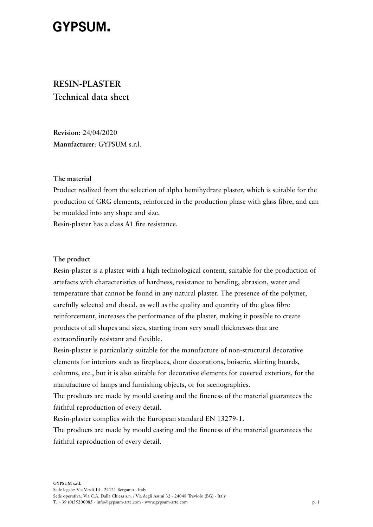# **GYPSUM.**

# **RESIN-PLASTER Technical data sheet**

**Revision:** 24/04/2020 **Manufacturer**: GYPSUM s.r.l.

#### **The material**

Product realized from the selection of alpha hemihydrate plaster, which is suitable for the production of GRG elements, reinforced in the production phase with glass fibre, and can be moulded into any shape and size.

Resin-plaster has a class A1 fire resistance.

#### **The product**

Resin-plaster is a plaster with a high technological content, suitable for the production of artefacts with characteristics of hardness, resistance to bending, abrasion, water and temperature that cannot be found in any natural plaster. The presence of the polymer, carefully selected and dosed, as well as the quality and quantity of the glass fibre reinforcement, increases the performance of the plaster, making it possible to create products of all shapes and sizes, starting from very small thicknesses that are extraordinarily resistant and flexible.

Resin-plaster is particularly suitable for the manufacture of non-structural decorative elements for interiors such as fireplaces, door decorations, boiserie, skirting boards, columns, etc., but it is also suitable for decorative elements for covered exteriors, for the manufacture of lamps and furnishing objects, or for scenographies.

The products are made by mould casting and the fineness of the material guarantees the faithful reproduction of every detail.

Resin-plaster complies with the European standard EN 13279-1.

The products are made by mould casting and the fineness of the material guarantees the faithful reproduction of every detail.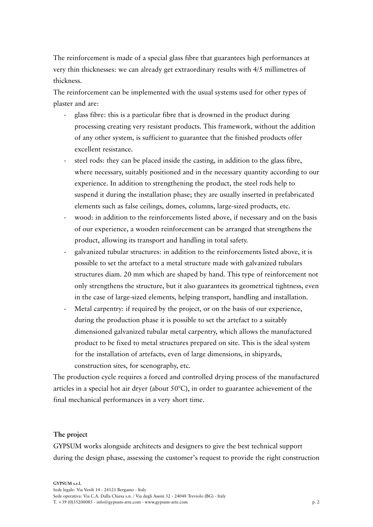The reinforcement is made of a special glass fibre that guarantees high performances at very thin thicknesses: we can already get extraordinary results with 4/5 millimetres of thickness.

The reinforcement can be implemented with the usual systems used for other types of plaster and are:

- glass fibre: this is a particular fibre that is drowned in the product during processing creating very resistant products. This framework, without the addition of any other system, is sufficient to guarantee that the finished products offer excellent resistance.
- steel rods: they can be placed inside the casting, in addition to the glass fibre, where necessary, suitably positioned and in the necessary quantity according to our experience. In addition to strengthening the product, the steel rods help to suspend it during the installation phase; they are usually inserted in prefabricated elements such as false ceilings, domes, columns, large-sized products, etc.
- wood: in addition to the reinforcements listed above, if necessary and on the basis of our experience, a wooden reinforcement can be arranged that strengthens the product, allowing its transport and handling in total safety.
- galvanized tubular structures: in addition to the reinforcements listed above, it is possible to set the artefact to a metal structure made with galvanized tubulars structures diam. 20 mm which are shaped by hand. This type of reinforcement not only strengthens the structure, but it also guarantees its geometrical tightness, even in the case of large-sized elements, helping transport, handling and installation.
- Metal carpentry: if required by the project, or on the basis of our experience, during the production phase it is possible to set the artefact to a suitably dimensioned galvanized tubular metal carpentry, which allows the manufactured product to be fixed to metal structures prepared on site. This is the ideal system for the installation of artefacts, even of large dimensions, in shipyards, construction sites, for scenography, etc.

The production cycle requires a forced and controlled drying process of the manufactured articles in a special hot air dryer (about 50°C), in order to guarantee achievement of the final mechanical performances in a very short time.

#### **The project**

GYPSUM works alongside architects and designers to give the best technical support during the design phase, assessing the customer's request to provide the right construction